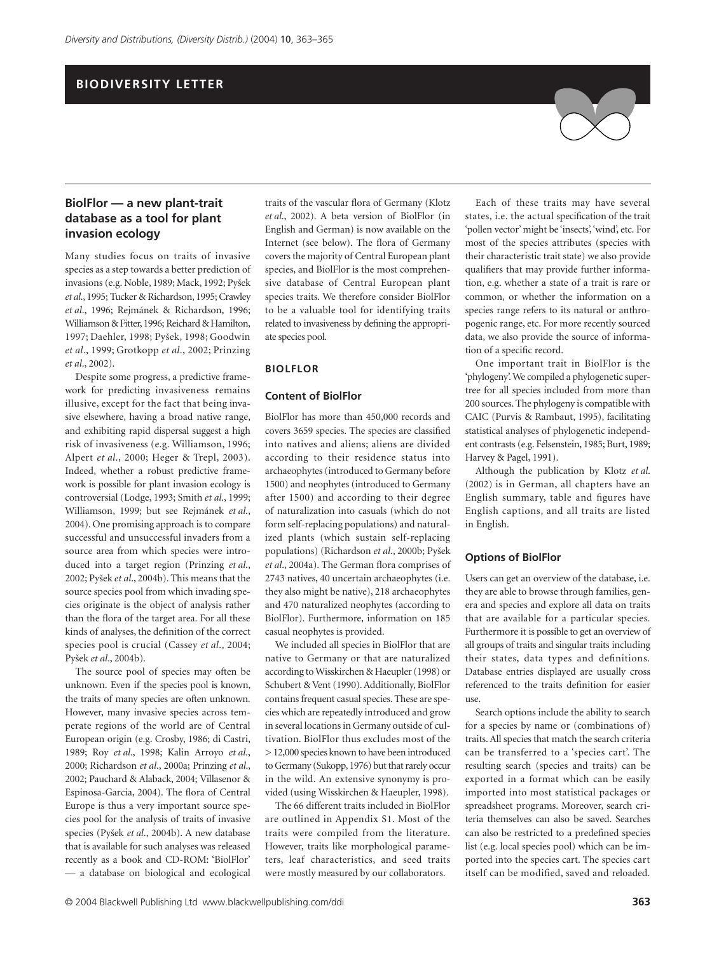## **BIODIVERSITY LETTER**

## **BiolFlor — a new plant-trait database as a tool for plant invasion ecology**

Many studies focus on traits of invasive species as a step towards a better prediction of invasions (e.g. Noble, 1989; Mack, 1992; Py*Í*ek *et al*., 1995; Tucker & Richardson, 1995; Crawley *et al*., 1996; Rejmánek & Richardson, 1996; Williamson & Fitter, 1996; Reichard & Hamilton, 1997; Daehler, 1998; Py*Í*ek, 1998; Goodwin *et al*., 1999; Grotkopp *et al*., 2002; Prinzing *et al*., 2002).

Despite some progress, a predictive framework for predicting invasiveness remains illusive, except for the fact that being invasive elsewhere, having a broad native range, and exhibiting rapid dispersal suggest a high risk of invasiveness (e.g. Williamson, 1996; Alpert *et al*., 2000; Heger & Trepl, 2003). Indeed, whether a robust predictive framework is possible for plant invasion ecology is controversial (Lodge, 1993; Smith *et al*., 1999; Williamson, 1999; but see Rejmánek *et al*., 2004). One promising approach is to compare successful and unsuccessful invaders from a source area from which species were introduced into a target region (Prinzing *et al*., 2002; Py*Í*ek *et al*., 2004b). This means that the source species pool from which invading species originate is the object of analysis rather than the flora of the target area. For all these kinds of analyses, the definition of the correct species pool is crucial (Cassey *et al*., 2004; Py*Í*ek *et al*., 2004b).

The source pool of species may often be unknown. Even if the species pool is known, the traits of many species are often unknown. However, many invasive species across temperate regions of the world are of Central European origin (e.g. Crosby, 1986; di Castri, 1989; Roy *et al*., 1998; Kalin Arroyo *et al*., 2000; Richardson *et al*., 2000a; Prinzing *et al*., 2002; Pauchard & Alaback, 2004; Villasenor & Espinosa-Garcia, 2004). The flora of Central Europe is thus a very important source species pool for the analysis of traits of invasive species (Py*Í*ek *et al*., 2004b). A new database that is available for such analyses was released recently as a book and CD-ROM: 'BiolFlor' — a database on biological and ecological

traits of the vascular flora of Germany (Klotz *et al*., 2002). A beta version of BiolFlor (in English and German) is now available on the Internet (see below). The flora of Germany covers the majority of Central European plant species, and BiolFlor is the most comprehensive database of Central European plant species traits. We therefore consider BiolFlor to be a valuable tool for identifying traits related to invasiveness by defining the appropriate species pool.

### **BIOLFLOR**

#### **Content of BiolFlor**

BiolFlor has more than 450,000 records and covers 3659 species. The species are classified into natives and aliens; aliens are divided according to their residence status into archaeophytes (introduced to Germany before 1500) and neophytes (introduced to Germany after 1500) and according to their degree of naturalization into casuals (which do not form self-replacing populations) and naturalized plants (which sustain self-replacing populations) (Richardson *et al*., 2000b; Py*Í*ek *et al*., 2004a). The German flora comprises of 2743 natives, 40 uncertain archaeophytes (i.e. they also might be native), 218 archaeophytes and 470 naturalized neophytes (according to BiolFlor). Furthermore, information on 185 casual neophytes is provided.

We included all species in BiolFlor that are native to Germany or that are naturalized according to Wisskirchen & Haeupler (1998) or Schubert & Vent (1990). Additionally, BiolFlor contains frequent casual species. These are species which are repeatedly introduced and grow in several locations in Germany outside of cultivation. BiolFlor thus excludes most of the > 12,000 species known to have been introduced to Germany (Sukopp, 1976) but that rarely occur in the wild. An extensive synonymy is provided (using Wisskirchen & Haeupler, 1998).

The 66 different traits included in BiolFlor are outlined in Appendix S1. Most of the traits were compiled from the literature. However, traits like morphological parameters, leaf characteristics, and seed traits were mostly measured by our collaborators.

Each of these traits may have several states, i.e. the actual specification of the trait 'pollen vector' might be 'insects', 'wind', etc. For most of the species attributes (species with their characteristic trait state) we also provide qualifiers that may provide further information, e.g. whether a state of a trait is rare or common, or whether the information on a species range refers to its natural or anthropogenic range, etc. For more recently sourced data, we also provide the source of information of a specific record.

One important trait in BiolFlor is the 'phylogeny'. We compiled a phylogenetic supertree for all species included from more than 200 sources. The phylogeny is compatible with CAIC (Purvis & Rambaut, 1995), facilitating statistical analyses of phylogenetic independent contrasts (e.g. Felsenstein, 1985; Burt, 1989; Harvey & Pagel, 1991).

Although the publication by Klotz *et al*. (2002) is in German, all chapters have an English summary, table and figures have English captions, and all traits are listed in English.

#### **Options of BiolFlor**

Users can get an overview of the database, i.e. they are able to browse through families, genera and species and explore all data on traits that are available for a particular species. Furthermore it is possible to get an overview of all groups of traits and singular traits including their states, data types and definitions. Database entries displayed are usually cross referenced to the traits definition for easier use.

Search options include the ability to search for a species by name or (combinations of) traits. All species that match the search criteria can be transferred to a 'species cart'. The resulting search (species and traits) can be exported in a format which can be easily imported into most statistical packages or spreadsheet programs. Moreover, search criteria themselves can also be saved. Searches can also be restricted to a predefined species list (e.g. local species pool) which can be imported into the species cart. The species cart itself can be modified, saved and reloaded.

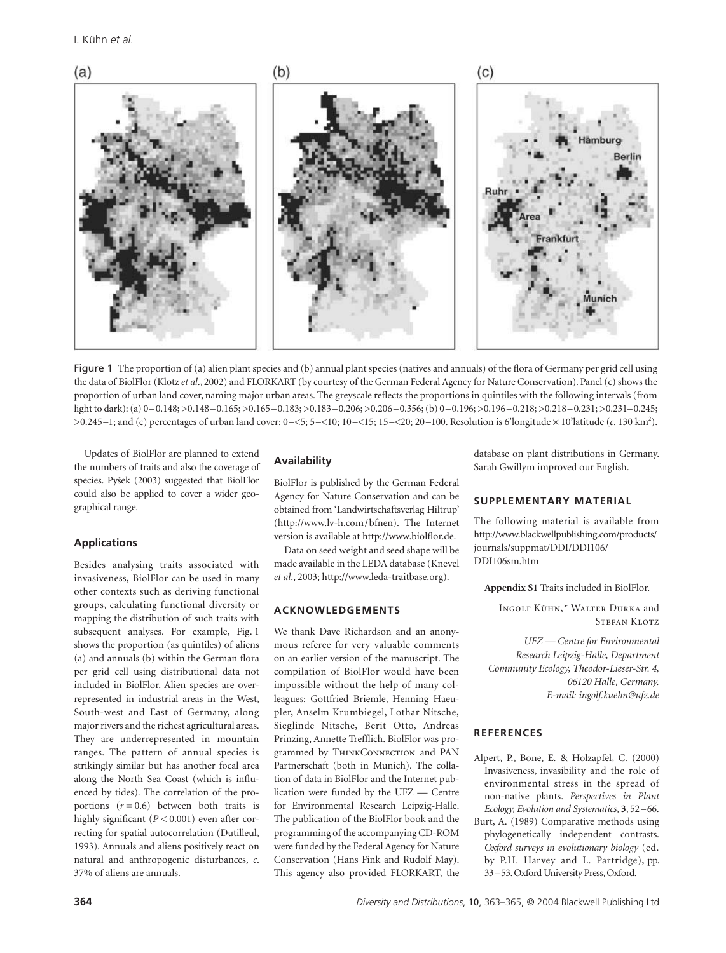

Figure 1 The proportion of (a) alien plant species and (b) annual plant species (natives and annuals) of the flora of Germany per grid cell using the data of BiolFlor (Klotz *et al*., 2002) and FLORKART (by courtesy of the German Federal Agency for Nature Conservation). Panel (c) shows the proportion of urban land cover, naming major urban areas. The greyscale reflects the proportions in quintiles with the following intervals (from light to dark): (a) 0–0.148; >0.148–0.165; >0.165–0.183; >0.183–0.206; >0.206–0.356; (b) 0–0.196; >0.196–0.218; >0.218–0.231; >0.231–0.245; >0.245–1; and (c) percentages of urban land cover: 0–<5; 5–<10; 10–<15; 15–<20; 20–100. Resolution is 6'longitude × 10'latitude (*c*. 130 km2 ).

Updates of BiolFlor are planned to extend the numbers of traits and also the coverage of species. Py*Í*ek (2003) suggested that BiolFlor could also be applied to cover a wider geographical range.

## **Applications**

Besides analysing traits associated with invasiveness, BiolFlor can be used in many other contexts such as deriving functional groups, calculating functional diversity or mapping the distribution of such traits with subsequent analyses. For example, Fig. 1 shows the proportion (as quintiles) of aliens (a) and annuals (b) within the German flora per grid cell using distributional data not included in BiolFlor. Alien species are overrepresented in industrial areas in the West, South-west and East of Germany, along major rivers and the richest agricultural areas. They are underrepresented in mountain ranges. The pattern of annual species is strikingly similar but has another focal area along the North Sea Coast (which is influenced by tides). The correlation of the proportions (*r =* 0.6) between both traits is highly significant (*P <* 0.001) even after correcting for spatial autocorrelation (Dutilleul, 1993). Annuals and aliens positively react on natural and anthropogenic disturbances, *c*. 37% of aliens are annuals.

# **Availability**

BiolFlor is published by the German Federal Agency for Nature Conservation and can be obtained from 'Landwirtschaftsverlag Hiltrup' [\(http://www.lv-h.com/](http://www.lv-h.com/)bfnen). The Internet version is available at [http://www.biolflor.de.](http://www.biolflor.de)

Data on seed weight and seed shape will be made available in the LEDA database (Knevel *et al*., 2003; [http://www.leda-traitbase.org\).](http://www.leda-traitbase.org)

#### **ACKNOWLEDGEMENTS**

We thank Dave Richardson and an anonymous referee for very valuable comments on an earlier version of the manuscript. The compilation of BiolFlor would have been impossible without the help of many colleagues: Gottfried Briemle, Henning Haeupler, Anselm Krumbiegel, Lothar Nitsche, Sieglinde Nitsche, Berit Otto, Andreas Prinzing, Annette Trefflich. BiolFlor was programmed by THINKCONNECTION and PAN Partnerschaft (both in Munich). The collation of data in BiolFlor and the Internet publication were funded by the UFZ — Centre for Environmental Research Leipzig-Halle. The publication of the BiolFlor book and the programming of the accompanying CD-ROM were funded by the Federal Agency for Nature Conservation (Hans Fink and Rudolf May). This agency also provided FLORKART, the database on plant distributions in Germany. Sarah Gwillym improved our English.

#### **SUPPLEMENTARY MATERIAL**

The following material is available from <http://www.blackwellpublishing.com/products/> journals/suppmat/DDI/DDI106/ DDI106sm.htm

**Appendix S1** Traits included in BiolFlor.

Ingolf Kühn,\* Walter Durka and Stefan Klotz

*UFZ — Centre for Environmental Research Leipzig-Halle, Department Community Ecology, Theodor-Lieser-Str. 4, 06120 Halle, Germany. E-mail: ingolf.kuehn@ufz.de*

## **REFERENCES**

- Alpert, P., Bone, E. & Holzapfel, C. (2000) Invasiveness, invasibility and the role of environmental stress in the spread of non-native plants. *Perspectives in Plant Ecology, Evolution and Systematics*, **3**, 52–66.
- Burt, A. (1989) Comparative methods using phylogenetically independent contrasts. *Oxford surveys in evolutionary biology* (ed. by P.H. Harvey and L. Partridge), pp. 33–53. Oxford University Press, Oxford.